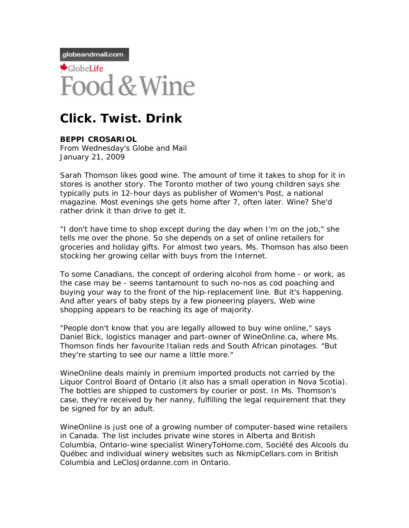globeandmail.com



## **Click. Twist. Drink**

**BEPPI CROSARIOL**  From Wednesday's Globe and Mail January 21, 2009

Sarah Thomson likes good wine. The amount of time it takes to shop for it in stores is another story. The Toronto mother of two young children says she typically puts in 12-hour days as publisher of Women's Post, a national magazine. Most evenings she gets home after 7, often later. Wine? She'd rather drink it than drive to get it.

"I don't have time to shop except during the day when I'm on the job," she tells me over the phone. So she depends on a set of online retailers for groceries and holiday gifts. For almost two years, Ms. Thomson has also been stocking her growing cellar with buys from the Internet.

To some Canadians, the concept of ordering alcohol from home - or work, as the case may be - seems tantamount to such no-nos as cod poaching and buying your way to the front of the hip-replacement line. But it's happening. And after years of baby steps by a few pioneering players, Web wine shopping appears to be reaching its age of majority.

"People don't know that you are legally allowed to buy wine online," says Daniel Bick, logistics manager and part-owner of WineOnline.ca, where Ms. Thomson finds her favourite Italian reds and South African pinotages. "But they're starting to see our name a little more."

WineOnline deals mainly in premium imported products not carried by the Liquor Control Board of Ontario (it also has a small operation in Nova Scotia). The bottles are shipped to customers by courier or post. In Ms. Thomson's case, they're received by her nanny, fulfilling the legal requirement that they be signed for by an adult.

WineOnline is just one of a growing number of computer-based wine retailers in Canada. The list includes private wine stores in Alberta and British Columbia, Ontario-wine specialist WineryToHome.com, Société des Alcools du Québec and individual winery websites such as NkmipCellars.com in British Columbia and LeClosJordanne.com in Ontario.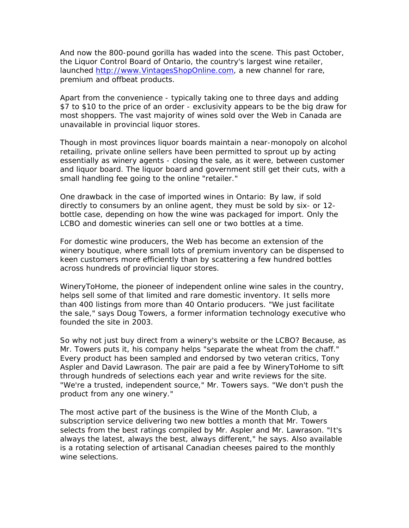And now the 800-pound gorilla has waded into the scene. This past October, the Liquor Control Board of Ontario, the country's largest wine retailer, launched http://www.VintagesShopOnline.com, a new channel for rare, premium and offbeat products.

Apart from the convenience - typically taking one to three days and adding \$7 to \$10 to the price of an order - exclusivity appears to be the big draw for most shoppers. The vast majority of wines sold over the Web in Canada are unavailable in provincial liquor stores.

Though in most provinces liquor boards maintain a near-monopoly on alcohol retailing, private online sellers have been permitted to sprout up by acting essentially as winery agents - closing the sale, as it were, between customer and liquor board. The liquor board and government still get their cuts, with a small handling fee going to the online "retailer."

One drawback in the case of imported wines in Ontario: By law, if sold directly to consumers by an online agent, they must be sold by six- or 12 bottle case, depending on how the wine was packaged for import. Only the LCBO and domestic wineries can sell one or two bottles at a time.

For domestic wine producers, the Web has become an extension of the winery boutique, where small lots of premium inventory can be dispensed to keen customers more efficiently than by scattering a few hundred bottles across hundreds of provincial liquor stores.

WineryToHome, the pioneer of independent online wine sales in the country, helps sell some of that limited and rare domestic inventory. It sells more than 400 listings from more than 40 Ontario producers. "We just facilitate the sale," says Doug Towers, a former information technology executive who founded the site in 2003.

So why not just buy direct from a winery's website or the LCBO? Because, as Mr. Towers puts it, his company helps "separate the wheat from the chaff." Every product has been sampled and endorsed by two veteran critics, Tony Aspler and David Lawrason. The pair are paid a fee by WineryToHome to sift through hundreds of selections each year and write reviews for the site. "We're a trusted, independent source," Mr. Towers says. "We don't push the product from any one winery."

The most active part of the business is the Wine of the Month Club, a subscription service delivering two new bottles a month that Mr. Towers selects from the best ratings compiled by Mr. Aspler and Mr. Lawrason. "It's always the latest, always the best, always different," he says. Also available is a rotating selection of artisanal Canadian cheeses paired to the monthly wine selections.